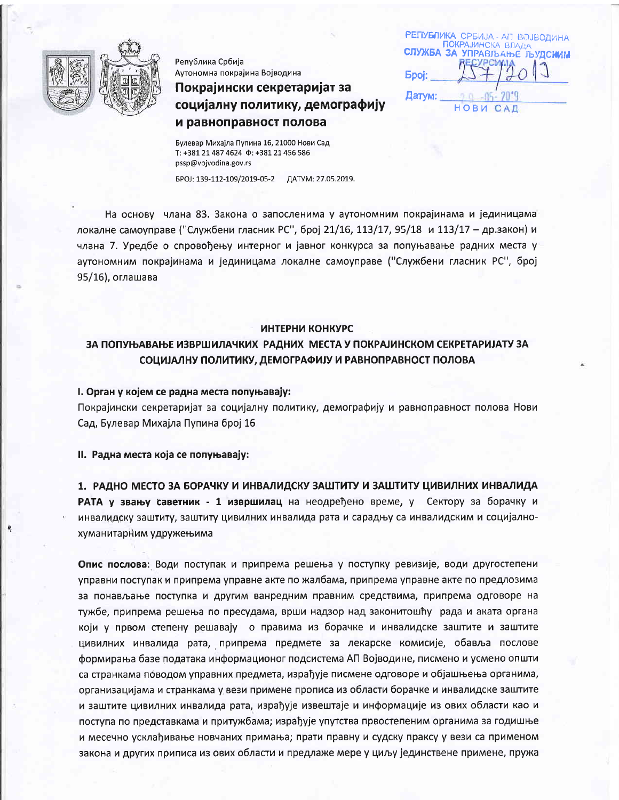

Република Србија Аутономна покрајина Војводина

# Покрајински секретаријат за социјалну политику, демографију и равноправност полова

РЕПУБЛИКА СРБИЈА - АП ВОЈВОДИНА ПОКРАЈИНСКА ВЛАДА СЛУЖБА ЗА УПРАВЉАЊЕ ЉУДСКИМ **Spoi:** Датум: НОВИ САД

Булевар Михајла Пупина 16, 21000 Нови Сад T: +381 21 487 4624  $\Phi$ : +381 21 456 586 pssp@vojvodina.gov.rs

БРОЈ: 139-112-109/2019-05-2 ДАТУМ: 27.05.2019.

На основу члана 83. Закона о запосленима у аутономним покрајинама и јединицама локалне самоуправе ("Службени гласник РС", број 21/16, 113/17, 95/18 и 113/17 - др.закон) и члана 7. Уредбе о спровођењу интерног и јавног конкурса за попуњавање радних места у аутономним покрајинама и јединицама локалне самоуправе ("Службени гласник РС", број 95/16), оглашава

#### ИНТЕРНИ КОНКУРС

# ЗА ПОПУЊАВАЊЕ ИЗВРШИЛАЧКИХ РАДНИХ МЕСТА У ПОКРАЈИНСКОМ СЕКРЕТАРИЈАТУ ЗА СОЦИЈАЛНУ ПОЛИТИКУ, ДЕМОГРАФИЈУ И РАВНОПРАВНОСТ ПОЛОВА

#### I. Орган у којем се радна места попуњавају:

Покрајински секретаријат за социјалну политику, демографију и равноправност полова Нови Сад, Булевар Михајла Пупина број 16

II. Радна места која се попуњавају:

1. РАДНО МЕСТО ЗА БОРАЧКУ И ИНВАЛИДСКУ ЗАШТИТУ И ЗАШТИТУ ЦИВИЛНИХ ИНВАЛИДА РАТА у звању саветник - 1 извршилац на неодређено време, у Сектору за борачку и инвалидску заштиту, заштиту цивилних инвалида рата и сарадњу са инвалидским и социјалнохуманитарним удружењима

Опис послова: Води поступак и припрема решења у поступку ревизије, води другостепени управни поступак и припрема управне акте по жалбама, припрема управне акте по предлозима за понављање поступка и другим ванредним правним средствима, припрема одговоре на тужбе, припрема решења по пресудама, врши надзор над законитошћу рада и аката органа који у првом степену решавају о правима из борачке и инвалидске заштите и заштите цивилних инвалида рата, припрема предмете за лекарске комисије, обавља послове формирања базе података информационог подсистема АП Војводине, писмено и усмено општи са странкама поводом управних предмета, израђује писмене одговоре и објашњења органима, организацијама и странкама у вези примене прописа из области борачке и инвалидске заштите и заштите цивилних инвалида рата, израђује извештаје и информације из ових области као и поступа по представкама и притужбама; израђује упутства првостепеним органима за годишње и месечно усклађивање новчаних примања; прати правну и судску праксу у вези са применом закона и других приписа из ових области и предлаже мере у циљу јединствене примене, пружа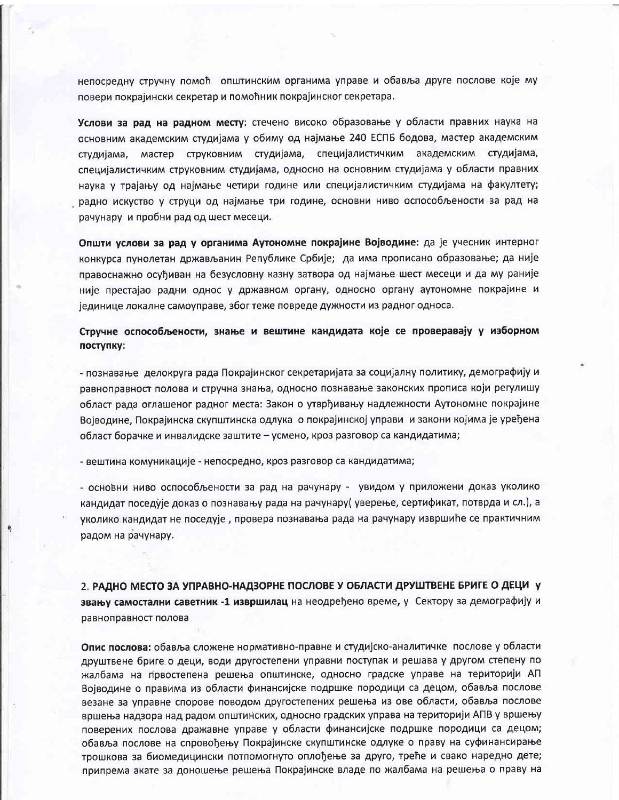непосредну стручну помоћ општинским органима управе и обавља друге послове које му повери покрајински секретар и помоћник покрајинског секретара.

Услови за рад на радном месту: стечено високо образовање у области правних наука на основним академским студијама у обиму од најмање 240 ЕСПБ бодова, мастер академским студијама, мастер струковним студијама, специјалистичким академским студијама, специјалистичким струковним студијама, односно на основним студијама у области правних наука у трајању од најмање четири године или специјалистичким студијама на факултету; радно искуство у струци од најмање три године, основни ниво оспособљености за рад на рачунару и пробни рад од шест месеци.

Општи услови за рад у органима Аутономне покрајине Војводине: да је учесник интерног конкурса пунолетан држављанин Републике Србије; да има прописано образовање; да није правоснажно осуђиван на безусловну казну затвора од најмање шест месеци и да му раније није престајао радни однос у државном органу, односно органу аутономне покрајине и јединице локалне самоуправе, због теже повреде дужности из радног односа.

Стручне оспособљености, знање и вештине кандидата које се проверавају у изборном поступку:

- познавање делокруга рада Покрајинског секретаријата за социјалну политику, демографију и равноправност полова и стручна знања, односно познавање законских прописа који регулишу област рада оглашеног радног места: Закон о утврђивању надлежности Аутономне покрајине Војводине, Покрајинска скупштинска одлука о покрајинској управи и закони којима је уређена област борачке и инвалидске заштите – усмено, кроз разговор са кандидатима;

- вештина комуникације - непосредно, кроз разговор са кандидатима;

- основни ниво оспособљености за рад на рачунару - увидом у приложени доказ уколико кандидат поседује доказ о познавању рада на рачунару( уверење, сертификат, потврда и сл.), а уколико кандидат не поседује, провера познавања рада на рачунару извршиће се практичним радом на рачунару.

2. РАДНО МЕСТО ЗА УПРАВНО-НАДЗОРНЕ ПОСЛОВЕ У ОБЛАСТИ ДРУШТВЕНЕ БРИГЕ О ДЕЦИ У звању самостални саветник -1 извршилац на неодређено време, у Сектору за демографију и равноправност полова

Опис послова: обавља сложене нормативно-правне и студијско-аналитичке послове у области друштвене бриге о деци, води другостепени управни поступак и решава у другом степену по жалбама на првостепена решења општинске, односно градске управе на територији АП Војводине о правима из области финансијске подршке породици са децом, обавља послове везане за управне спорове поводом другостепених решења из ове области, обавља послове вршења надзора над радом општинских, односно градских управа на територији АПВ у вршењу поверених послова дражавне управе у области финансијске подршке породици са децом; обавља послове на спровођењу Покрајинске скупштинске одлуке о праву на суфинансирање трошкова за биомедицински потпомогнуто оплођење за друго, треће и свако наредно дете; припрема акате за доношење решења Покрајинске владе по жалбама на решења о праву на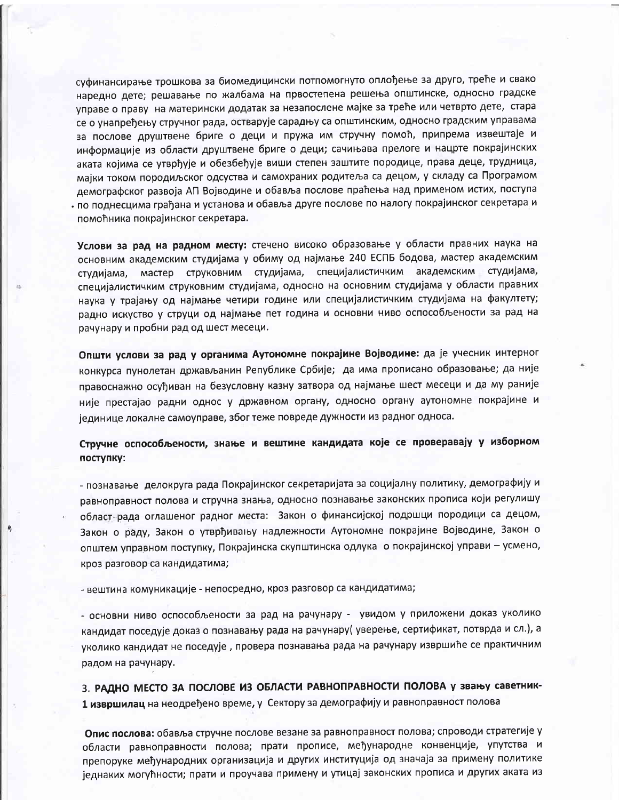суфинансирање трошкова за биомедицински потпомогнуто оплођење за друго, треће и свако наредно дете; решавање по жалбама на првостепена решења општинске, односно градске управе о праву на матерински додатак за незапослене мајке за треће или четврто дете, стара се о унапређењу стручног рада, остварује сарадњу са општинским, односно градским управама за послове друштвене бриге о деци и пружа им стручну помоћ, припрема извештаје и информације из области друштвене бриге о деци; сачињава прелоге и нацрте покрајинских аката којима се утврђује и обезбеђује виши степен заштите породице, права деце, трудница, мајки током породиљског одсуства и самохраних родитеља са децом, у складу са Програмом демографског развоја АП Војводине и обавља послове праћења над применом истих, поступа по поднесцима грађана и установа и обавља друге послове по налогу покрајинског секретара и помоћника покрајинског секретара.

Услови за рад на радном месту: стечено високо образовање у области правних наука на основним академским студијама у обиму од најмање 240 ЕСПБ бодова, мастер академским мастер струковним студијама, специјалистичким академским студијама, студијама, специјалистичким струковним студијама, односно на основним студијама у области правних наука у трајању од најмање четири године или специјалистичким студијама на факултету; радно искуство у струци од најмање пет година и основни ниво оспособљености за рад на рачунару и пробни рад од шест месеци.

Општи услови за рад у органима Аутономне покрајине Војводине: да је учесник интерног конкурса пунолетан држављанин Републике Србије; да има прописано образовање; да није правоснажно осуђиван на безусловну казну затвора од најмање шест месеци и да му раније није престајао радни однос у државном органу, односно органу аутономне покрајине и јединице локалне самоуправе, због теже повреде дужности из радног односа.

Стручне оспособљености, знање и вештине кандидата које се проверавају у изборном поступку:

- познавање делокруга рада Покрајинског секретаријата за социјалну политику, демографију и равноправност полова и стручна знања, односно познавање законских прописа који регулишу област рада оглашеног радног места: Закон о финансијској подршци породици са децом, Закон о раду, Закон о утврђивању надлежности Аутономне покрајине Војводине, Закон о општем управном поступку, Покрајинска скупштинска одлука о покрајинској управи - усмено, кроз разговор са кандидатима;

- вештина комуникације - непосредно, кроз разговор са кандидатима;

- основни ниво оспособљености за рад на рачунару - увидом у приложени доказ уколико кандидат поседује доказ о познавању рада на рачунару( уверење, сертификат, потврда и сл.), а уколико кандидат не поседује, провера познавања рада на рачунару извршиће се практичним радом на рачунару.

3. РАДНО МЕСТО ЗА ПОСЛОВЕ ИЗ ОБЛАСТИ РАВНОПРАВНОСТИ ПОЛОВА у звању саветник-1 извршилац на неодређено време, у Сектору за демографију и равноправност полова

Опис послова: обавља стручне послове везане за равноправност полова; спроводи стратегије у области равноправности полова; прати прописе, међународне конвенције, упутства и препоруке међународних организација и других институција од значаја за примену политике једнаких могућности; прати и проучава примену и утицај законских прописа и других аката из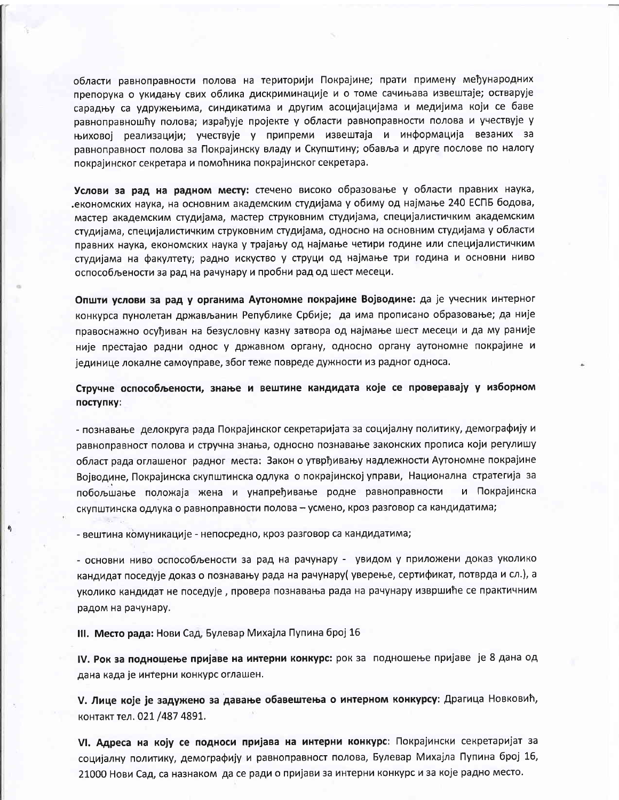области равноправности полова на територији Покрајине; прати примену међународних препорука о укидању свих облика дискриминације и о томе сачињава извештаје; остварује сарадњу са удружењима, синдикатима и другим асоцијацијама и медијима који се баве равноправношћу полова; израђује пројекте у области равноправности полова и учествује у њиховој реализацији; учествује у припреми извештаја и информација везаних за равноправност полова за Покрајинску владу и Скупштину; обавља и друге послове по налогу покрајинског секретара и помоћника покрајинског секретара.

Услови за рад на радном месту: стечено високо образовање у области правних наука, економских наука, на основним академским студијама у обиму од најмање 240 ЕСПБ бодова, мастер академским студијама, мастер струковним студијама, специјалистичким академским студијама, специјалистичким струковним студијама, односно на основним студијама у области правних наука, економских наука у трајању од најмање четири године или специјалистичким студијама на факултету; радно искуство у струци од најмање три година и основни ниво оспособљености за рад на рачунару и пробни рад од шест месеци.

Општи услови за рад у органима Аутономне покрајине Војводине: да је учесник интерног конкурса пунолетан држављанин Републике Србије; да има прописано образовање; да није правоснажно осуђиван на безусловну казну затвора од најмање шест месеци и да му раније није престајао радни однос у државном органу, односно органу аутономне покрајине и јединице локалне самоуправе, због теже повреде дужности из радног односа.

Стручне оспособљености, знање и вештине кандидата које се проверавају у изборном поступку:

- познавање делокруга рада Покрајинског секретаријата за социјалну политику, демографију и равноправност полова и стручна знања, односно познавање законских прописа који регулишу област рада оглашеног радног места: Закон о утврђивању надлежности Аутономне покрајине Војводине, Покрајинска скупштинска одлука о покрајинској управи, Национална стратегија за побољшање положаја жена и унапређивање родне равноправности и Покрајинска скупштинска одлука о равноправности полова - усмено, кроз разговор са кандидатима;

- вештина комуникације - непосредно, кроз разговор са кандидатима;

- основни ниво оспособљености за рад на рачунару - увидом у приложени доказ уколико кандидат поседује доказ о познавању рада на рачунару( уверење, сертификат, потврда и сл.), а уколико кандидат не поседује, провера познавања рада на рачунару извршиће се практичним радом на рачунару.

III. Место рада: Нови Сад, Булевар Михајла Пупина број 16

IV. Рок за подношење пријаве на интерни конкурс: рок за подношење пријаве је 8 дана од дана када је интерни конкурс оглашен.

V. Лице које је задужено за давање обавештења о интерном конкурсу: Драгица Новковић, контакт тел. 021 /487 4891.

VI. Адреса на коју се подноси пријава на интерни конкурс: Покрајински секретаријат за социјалну политику, демографију и равноправност полова, Булевар Михајла Пупина број 16, 21000 Нови Сад, са назнаком да се ради о пријави за интерни конкурс и за које радно место.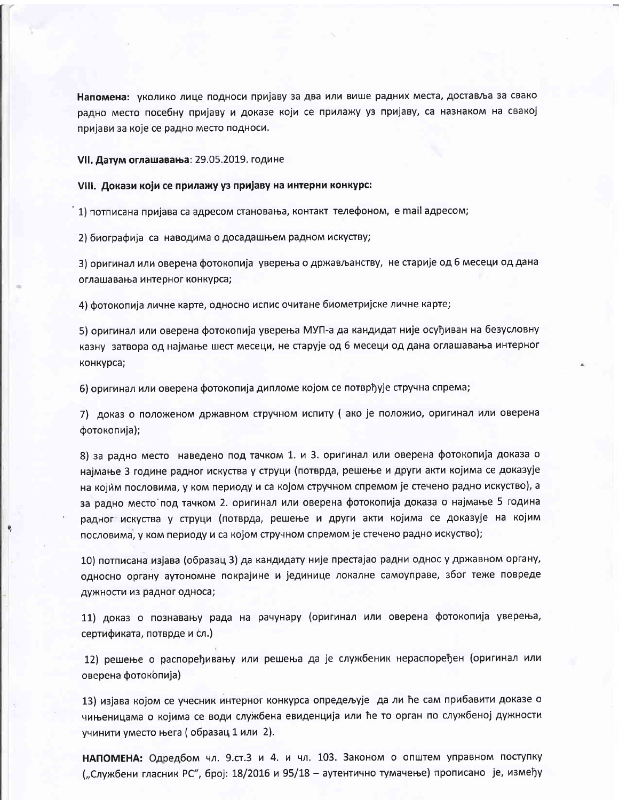Напомена: уколико лице подноси пријаву за два или више радних места, доставља за свако радно место посебну пријаву и доказе који се прилажу уз пријаву, са назнаком на свакој пријави за које се радно место подноси.

### VII. Датум оглашавања: 29.05.2019. године

## VIII. Докази који се прилажу уз пријаву на интерни конкурс:

1) потписана пријава са адресом становања, контакт телефоном, е mail адресом;

2) биографија са наводима о досадашњем радном искуству;

3) оригинал или оверена фотокопија уверења о држављанству, не старије од 6 месеци од дана оглашавања интерног конкурса;

4) фотокопија личне карте, односно испис очитане биометријске личне карте;

5) оригинал или оверена фотокопија уверења МУП-а да кандидат није осуђиван на безусловну казну затвора од најмање шест месеци, не старује од 6 месеци од дана оглашавања интерног конкурса;

6) оригинал или оверена фотокопија дипломе којом се потврђује стручна спрема;

7) доказ о положеном државном стручном испиту ( ако је положио, оригинал или оверена фотокопија);

8) за радно место наведено под тачком 1. и 3. оригинал или оверена фотокопија доказа о најмање 3 године радног искуства у струци (потврда, решење и други акти којима се доказује на којим пословима, у ком периоду и са којом стручном спремом је стечено радно искуство), а за радно место под тачком 2. оригинал или оверена фотокопија доказа о најмање 5 година радног искуства у струци (потврда, решење и други акти којима се доказује на којим пословима, у ком периоду и са којом стручном спремом је стечено радно искуство);

10) потписана изјава (образац 3) да кандидату није престајао радни однос у државном органу, односно органу аутономне покрајине и јединице локалне самоуправе, због теже повреде дужности из радног односа;

11) доказ о познавању рада на рачунару (оригинал или оверена фотокопија уверења, сертификата, потврде и сл.)

12) решење о распоређивању или решења да је службеник нераспоређен (оригинал или оверена фотокопија)

13) изјава којом се учесник интерног конкурса опредељује да ли ће сам прибавити доказе о чињеницама о којима се води службена евиденција или ће то орган по службеној дужности учинити уместо њега (образац 1 или 2).

НАПОМЕНА: Одредбом чл. 9.ст.3 и 4. и чл. 103. Законом о општем управном поступку ("Службени гласник РС", број: 18/2016 и 95/18 - аутентично тумачење) прописано је, између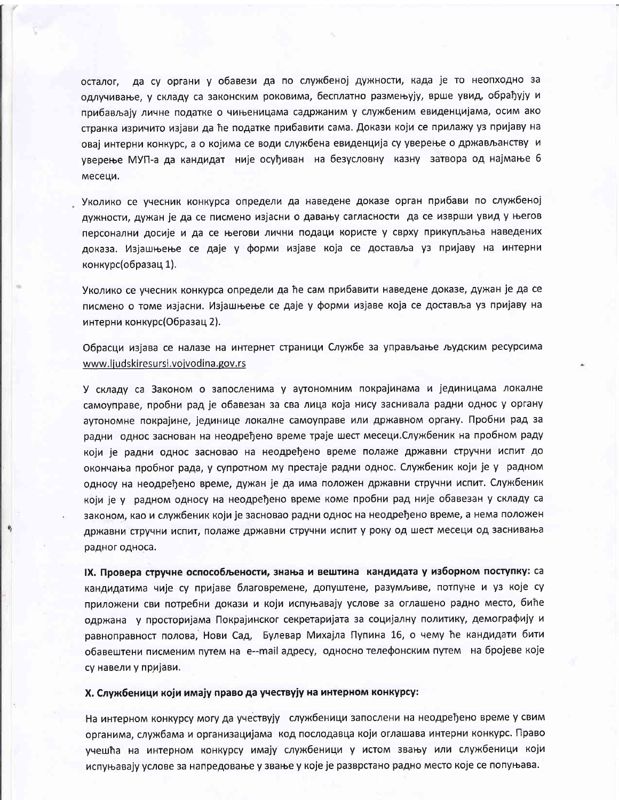осталог, да су органи у обавези да по службеној дужности, када је то неопходно за одлучивање, у складу са законским роковима, бесплатно размењују, врше увид, обрађују и прибављају личне податке о чињеницама садржаним у службеним евиденцијама, осим ако странка изричито изјави да ће податке прибавити сама. Докази који се прилажу уз пријаву на овај интерни конкурс, а о којима се води службена евиденција су уверење о држављанству и уверење МУП-а да кандидат није осуђиван на безусловну казну затвора од најмање 6 месеци.

Уколико се учесник конкурса определи да наведене доказе орган прибави по службеној дужности, дужан је да се писмено изјасни о давању сагласности да се изврши увид у његов персонални досије и да се његови лични подаци користе у сврху прикупљања наведених доказа. Изјашњење се даје у форми изјаве која се доставља уз пријаву на интерни конкурс(образац 1).

Уколико се учесник конкурса определи да ће сам прибавити наведене доказе, дужан је да се писмено о томе изјасни. Изјашњење се даје у форми изјаве која се доставља уз пријаву на интерни конкурс(Образац 2).

Обрасци изјава се налазе на интернет страници Службе за управљање људским ресурсима www.ljudskiresursi.vojvodina.gov.rs

У складу са Законом о запосленима у аутономним покрајинама и јединицама локалне самоуправе, пробни рад је обавезан за сва лица која нису заснивала радни однос у органу аутономне покрајине, јединице локалне самоуправе или државном органу. Пробни рад за радни однос заснован на неодређено време траје шест месеци.Службеник на пробном раду који је радни однос засновао на неодређено време полаже државни стручни испит до окончања пробног рада, у супротном му престаје радни однос. Службеник који је у радном односу на неодређено време, дужан је да има положен државни стручни испит. Службеник који је у радном односу на неодређено време коме пробни рад није обавезан у складу са законом, као и службеник који је засновао радни однос на неодређено време, а нема положен државни стручни испит, полаже државни стручни испит у року од шест месеци од заснивања радног односа.

IX. Провера стручне оспособљености, знања и вештина кандидата у изборном поступку: са кандидатима чије су пријаве благовремене, допуштене, разумљиве, потпуне и уз које су приложени сви потребни докази и који испуњавају услове за оглашено радно место, биће одржана у просторијама Покрајинског секретаријата за социјалну политику, демографију и равноправност полова, Нови Сад, Булевар Михајла Пупина 16, о чему ће кандидати бити обавештени писменим путем на e--mail адресу, односно телефонским путем на бројеве које су навели у пријави.

Х. Службеници који имају право да учествују на интерном конкурсу:

На интерном конкурсу могу да учествују службеници запослени на неодређено време у свим органима, службама и организацијама код послодавца који оглашава интерни конкурс. Право учешћа на интерном конкурсу имају службеници у истом звању или службеници који испуњавају услове за напредовање у звање у које је разврстано радно место које се попуњава.